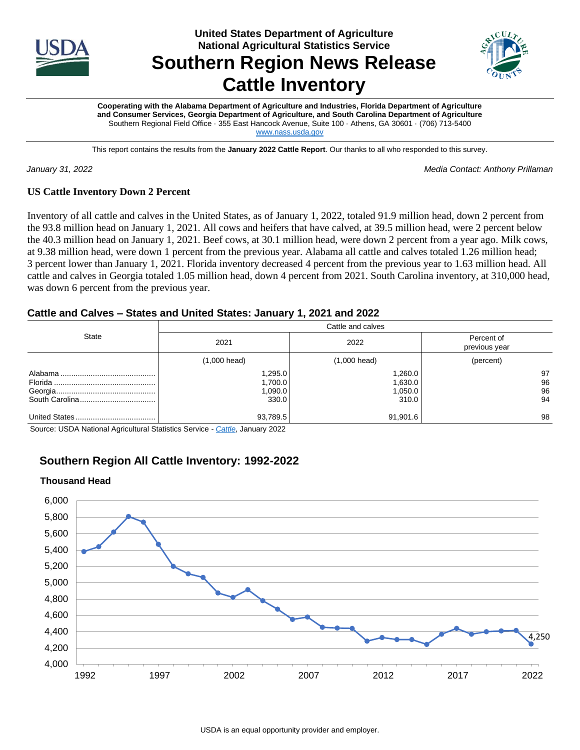

**United States Department of Agriculture National Agricultural Statistics Service**

# **Southern Region News Release Cattle Inventory**



**Cooperating with the Alabama Department of Agriculture and Industries, Florida Department of Agriculture and Consumer Services, Georgia Department of Agriculture, and South Carolina Department of Agriculture** Southern Regional Field Office · 355 East Hancock Avenue, Suite 100 · Athens, GA 30601 · (706) 713-5400 [www.nass.usda.gov](http://www.nass.usda.gov/)

This report contains the results from the **January 2022 Cattle Report**. Our thanks to all who responded to this survey.

*January 31, 2022 Media Contact: Anthony Prillaman*

## **US Cattle Inventory Down 2 Percent**

Inventory of all cattle and calves in the United States, as of January 1, 2022, totaled 91.9 million head, down 2 percent from the 93.8 million head on January 1, 2021. All cows and heifers that have calved, at 39.5 million head, were 2 percent below the 40.3 million head on January 1, 2021. Beef cows, at 30.1 million head, were down 2 percent from a year ago. Milk cows, at 9.38 million head, were down 1 percent from the previous year. Alabama all cattle and calves totaled 1.26 million head; 3 percent lower than January 1, 2021. Florida inventory decreased 4 percent from the previous year to 1.63 million head. All cattle and calves in Georgia totaled 1.05 million head, down 4 percent from 2021. South Carolina inventory, at 310,000 head, was down 6 percent from the previous year.

# **Cattle and Calves – States and United States: January 1, 2021 and 2022**

|              | Cattle and calves                       |                                        |                             |  |  |  |  |
|--------------|-----------------------------------------|----------------------------------------|-----------------------------|--|--|--|--|
| <b>State</b> | 2021                                    | 2022                                   | Percent of<br>previous year |  |  |  |  |
|              | $(1,000 \text{ head})$                  | $(1,000 \text{ head})$                 | (percent)                   |  |  |  |  |
|              | .295.0<br>1,700.0<br>1,090.0  <br>330.0 | 1,260.0<br>1,630.0<br>1,050.0<br>310.0 | 97<br>96<br>96<br>94        |  |  |  |  |
|              | 93,789.5                                | 91,901.6                               | 98                          |  |  |  |  |

Source: USDA National Agricultural Statistics Service - *[Cattle](https://usda.library.cornell.edu/concern/publications/h702q636h)*, January 2022

# **Southern Region All Cattle Inventory: 1992-2022**

#### **Thousand Head**